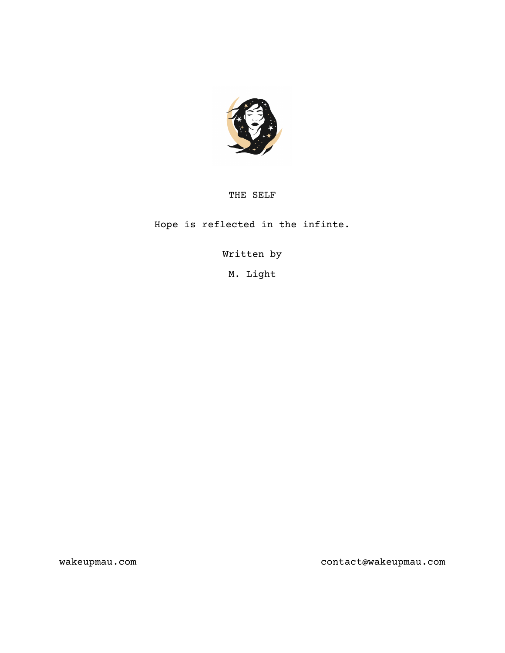

# THE SELF

Hope is reflected in the infinte.

Written by

M. Light

wakeupmau.com contact@wakeupmau.com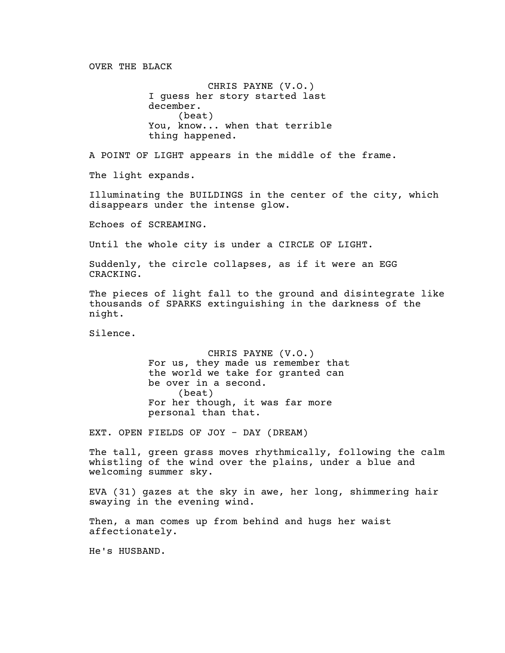OVER THE BLACK

CHRIS PAYNE (V.O.) I guess her story started last december. (beat) You, know... when that terrible thing happened.

A POINT OF LIGHT appears in the middle of the frame.

The light expands.

Illuminating the BUILDINGS in the center of the city, which disappears under the intense glow.

Echoes of SCREAMING.

Until the whole city is under a CIRCLE OF LIGHT.

Suddenly, the circle collapses, as if it were an EGG CRACKING.

The pieces of light fall to the ground and disintegrate like thousands of SPARKS extinguishing in the darkness of the night.

Silence.

CHRIS PAYNE (V.O.) For us, they made us remember that the world we take for granted can be over in a second. (beat) For her though, it was far more personal than that.

EXT. OPEN FIELDS OF JOY - DAY (DREAM)

The tall, green grass moves rhythmically, following the calm whistling of the wind over the plains, under a blue and welcoming summer sky.

EVA (31) gazes at the sky in awe, her long, shimmering hair swaying in the evening wind.

Then, a man comes up from behind and hugs her waist affectionately.

He's HUSBAND.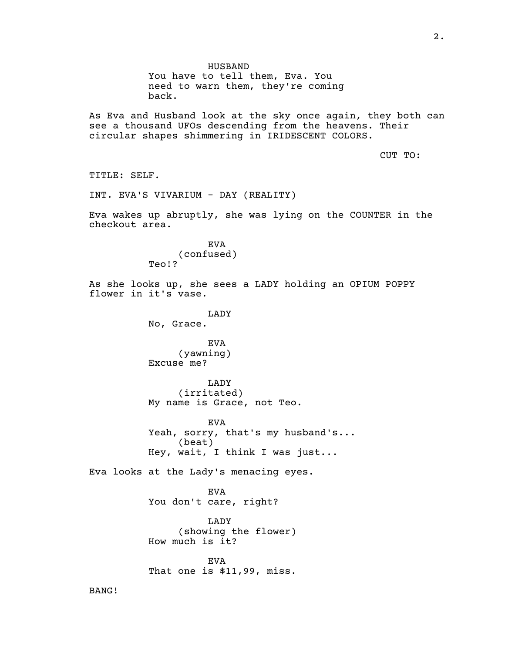HUSBAND You have to tell them, Eva. You need to warn them, they're coming back. As Eva and Husband look at the sky once again, they both can see a thousand UFOs descending from the heavens. Their circular shapes shimmering in IRIDESCENT COLORS. CUT TO: TITLE: SELF. INT. EVA'S VIVARIUM - DAY (REALITY) Eva wakes up abruptly, she was lying on the COUNTER in the checkout area. EVA (confused) Teo!? As she looks up, she sees a LADY holding an OPIUM POPPY flower in it's vase. LADY No, Grace. EVA (yawning) Excuse me? LADY (irritated) My name is Grace, not Teo. EVA Yeah, sorry, that's my husband's... (beat) Hey, wait, I think I was just... Eva looks at the Lady's menacing eyes. EVA You don't care, right? LADY (showing the flower) How much is it? EVA That one is \$11,99, miss.

BANG!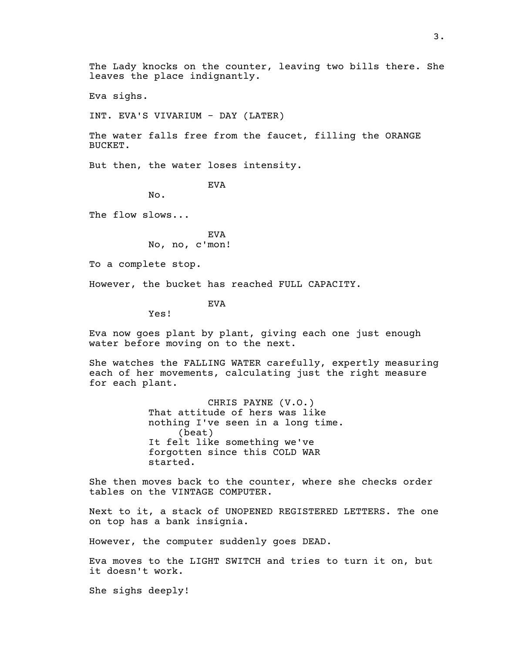Eva sighs.

INT. EVA'S VIVARIUM - DAY (LATER)

The water falls free from the faucet, filling the ORANGE BUCKET.

But then, the water loses intensity.

EVA

No.

The flow slows...

EVA No, no, c'mon!

To a complete stop.

However, the bucket has reached FULL CAPACITY.

EVA

Yes!

Eva now goes plant by plant, giving each one just enough water before moving on to the next.

She watches the FALLING WATER carefully, expertly measuring each of her movements, calculating just the right measure for each plant.

> CHRIS PAYNE (V.O.) That attitude of hers was like nothing I've seen in a long time. (beat) It felt like something we've forgotten since this COLD WAR started.

She then moves back to the counter, where she checks order tables on the VINTAGE COMPUTER.

Next to it, a stack of UNOPENED REGISTERED LETTERS. The one on top has a bank insignia.

However, the computer suddenly goes DEAD.

Eva moves to the LIGHT SWITCH and tries to turn it on, but it doesn't work.

She sighs deeply!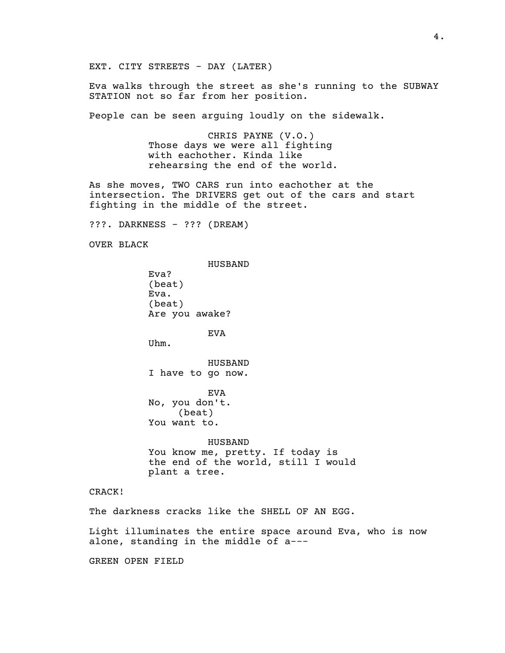EXT. CITY STREETS - DAY (LATER)

Eva walks through the street as she's running to the SUBWAY STATION not so far from her position.

People can be seen arguing loudly on the sidewalk.

CHRIS PAYNE (V.O.) Those days we were all fighting with eachother. Kinda like rehearsing the end of the world.

As she moves, TWO CARS run into eachother at the intersection. The DRIVERS get out of the cars and start fighting in the middle of the street.

???. DARKNESS - ??? (DREAM)

OVER BLACK

HUSBAND Eva? (beat) Eva. (beat) Are you awake?

EVA

Uhm.

HUSBAND I have to go now.

EVA No, you don't. (beat) You want to.

HUSBAND You know me, pretty. If today is the end of the world, still I would plant a tree.

CRACK!

The darkness cracks like the SHELL OF AN EGG.

Light illuminates the entire space around Eva, who is now alone, standing in the middle of a---

GREEN OPEN FIELD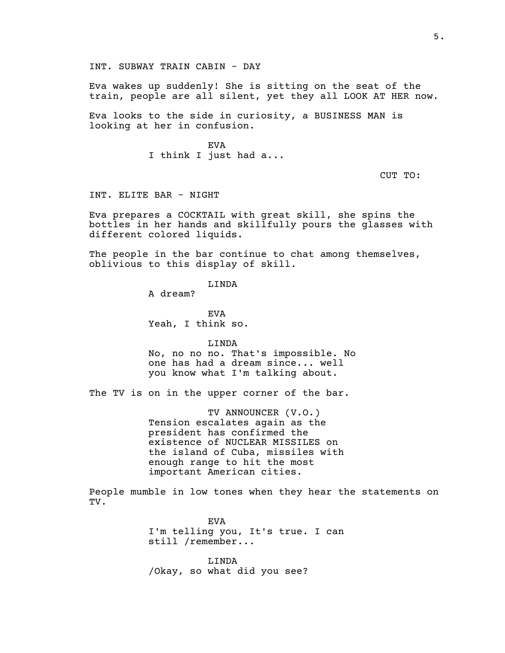Eva wakes up suddenly! She is sitting on the seat of the train, people are all silent, yet they all LOOK AT HER now.

Eva looks to the side in curiosity, a BUSINESS MAN is looking at her in confusion.

> EVA I think I just had a...

> > CUT TO:

INT. ELITE BAR - NIGHT

Eva prepares a COCKTAIL with great skill, she spins the bottles in her hands and skillfully pours the glasses with different colored liquids.

The people in the bar continue to chat among themselves, oblivious to this display of skill.

LINDA

A dream?

EVA Yeah, I think so.

LINDA No, no no no. That's impossible. No one has had a dream since... well you know what I'm talking about.

The TV is on in the upper corner of the bar.

TV ANNOUNCER (V.O.) Tension escalates again as the president has confirmed the existence of NUCLEAR MISSILES on the island of Cuba, missiles with enough range to hit the most important American cities.

People mumble in low tones when they hear the statements on TV.

> EVA I'm telling you, It's true. I can still /remember...

LINDA /Okay, so what did you see?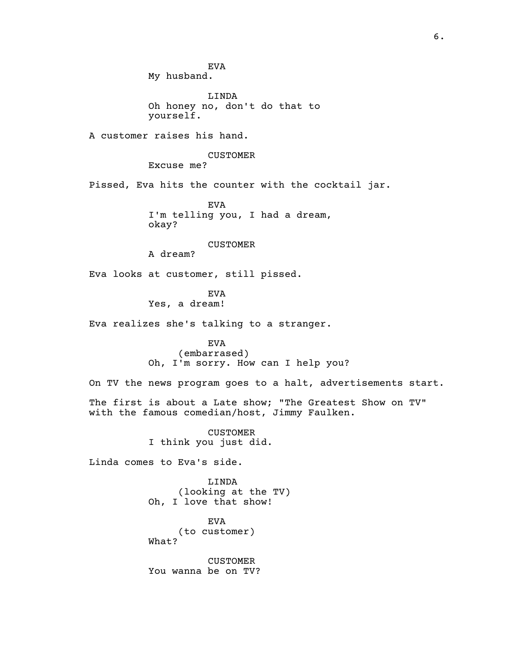EVA My husband.

LINDA Oh honey no, don't do that to yourself.

A customer raises his hand.

### CUSTOMER

Excuse me?

Pissed, Eva hits the counter with the cocktail jar.

EVA I'm telling you, I had a dream, okay?

CUSTOMER

A dream?

Eva looks at customer, still pissed.

EVA Yes, a dream!

Eva realizes she's talking to a stranger.

EVA (embarrased) Oh, I'm sorry. How can I help you?

On TV the news program goes to a halt, advertisements start.

The first is about a Late show; "The Greatest Show on TV" with the famous comedian/host, Jimmy Faulken.

> CUSTOMER I think you just did.

Linda comes to Eva's side.

LINDA (looking at the TV) Oh, I love that show!

EVA (to customer) What?

CUSTOMER You wanna be on TV?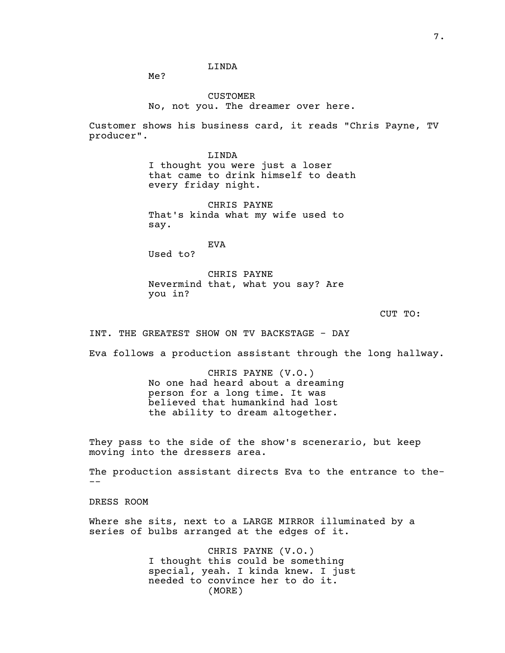## LINDA

Me?

CUSTOMER No, not you. The dreamer over here.

Customer shows his business card, it reads "Chris Payne, TV producer".

> LINDA I thought you were just a loser that came to drink himself to death every friday night.

CHRIS PAYNE That's kinda what my wife used to say.

EVA Used to?

CHRIS PAYNE Nevermind that, what you say? Are you in?

CUT TO:

INT. THE GREATEST SHOW ON TV BACKSTAGE - DAY

Eva follows a production assistant through the long hallway.

CHRIS PAYNE (V.O.) No one had heard about a dreaming person for a long time. It was believed that humankind had lost the ability to dream altogether.

They pass to the side of the show's scenerario, but keep moving into the dressers area.

The production assistant directs Eva to the entrance to the- --

DRESS ROOM

Where she sits, next to a LARGE MIRROR illuminated by a series of bulbs arranged at the edges of it.

> CHRIS PAYNE (V.O.) I thought this could be something special, yeah. I kinda knew. I just needed to convince her to do it. (MORE)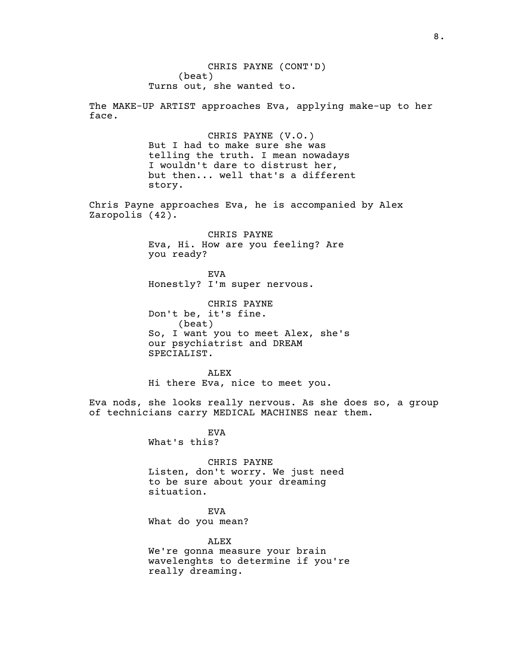CHRIS PAYNE (CONT'D) (beat) Turns out, she wanted to.

The MAKE-UP ARTIST approaches Eva, applying make-up to her face.

> CHRIS PAYNE (V.O.) But I had to make sure she was telling the truth. I mean nowadays I wouldn't dare to distrust her, but then... well that's a different story.

Chris Payne approaches Eva, he is accompanied by Alex Zaropolis (42).

> CHRIS PAYNE Eva, Hi. How are you feeling? Are you ready?

EVA Honestly? I'm super nervous.

CHRIS PAYNE Don't be, it's fine. (beat) So, I want you to meet Alex, she's our psychiatrist and DREAM SPECIALIST.

ALEX Hi there Eva, nice to meet you.

Eva nods, she looks really nervous. As she does so, a group of technicians carry MEDICAL MACHINES near them.

> EVA What's this?

CHRIS PAYNE Listen, don't worry. We just need to be sure about your dreaming situation.

EVA What do you mean?

ALEX We're gonna measure your brain wavelenghts to determine if you're really dreaming.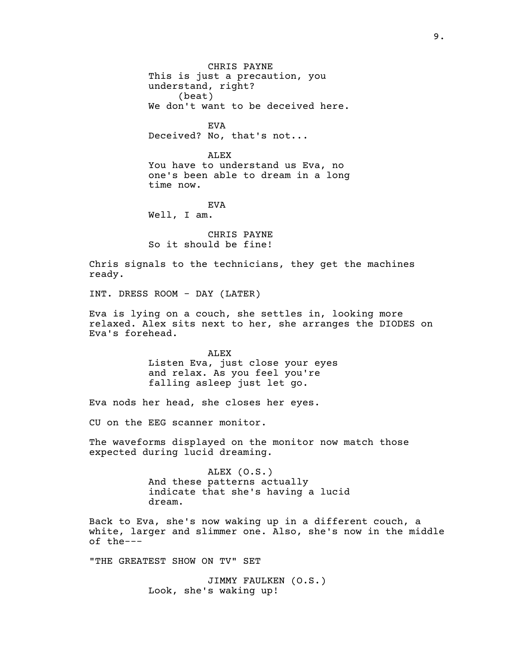CHRIS PAYNE This is just a precaution, you understand, right? (beat) We don't want to be deceived here.

EVA Deceived? No, that's not...

ALEX You have to understand us Eva, no one's been able to dream in a long time now.

EVA Well, I am.

CHRIS PAYNE So it should be fine!

Chris signals to the technicians, they get the machines ready.

INT. DRESS ROOM - DAY (LATER)

Eva is lying on a couch, she settles in, looking more relaxed. Alex sits next to her, she arranges the DIODES on Eva's forehead.

> ALEX Listen Eva, just close your eyes and relax. As you feel you're falling asleep just let go.

Eva nods her head, she closes her eyes.

CU on the EEG scanner monitor.

The waveforms displayed on the monitor now match those expected during lucid dreaming.

> ALEX (O.S.) And these patterns actually indicate that she's having a lucid dream.

Back to Eva, she's now waking up in a different couch, a white, larger and slimmer one. Also, she's now in the middle of the---

"THE GREATEST SHOW ON TV" SET

JIMMY FAULKEN (O.S.) Look, she's waking up!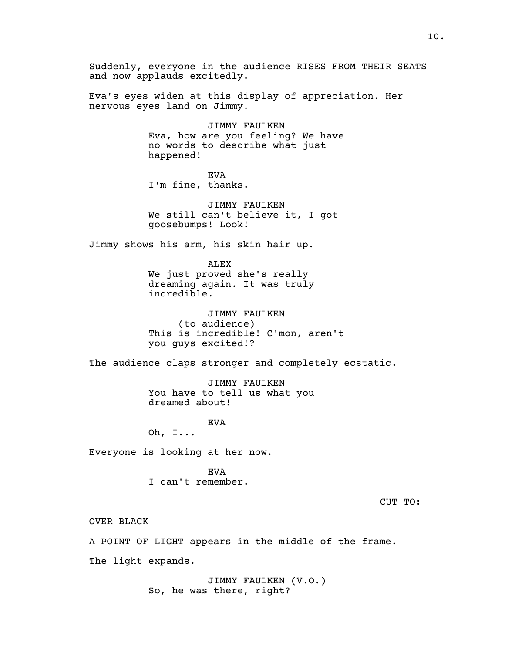Suddenly, everyone in the audience RISES FROM THEIR SEATS and now applauds excitedly.

Eva's eyes widen at this display of appreciation. Her nervous eyes land on Jimmy.

> JIMMY FAULKEN Eva, how are you feeling? We have no words to describe what just happened!

EVA I'm fine, thanks.

JIMMY FAULKEN We still can't believe it, I got goosebumps! Look!

Jimmy shows his arm, his skin hair up.

ALEX We just proved she's really dreaming again. It was truly incredible.

JIMMY FAULKEN (to audience) This is incredible! C'mon, aren't you guys excited!?

The audience claps stronger and completely ecstatic.

JIMMY FAULKEN You have to tell us what you dreamed about!

EVA

Oh, I...

Everyone is looking at her now.

EVA I can't remember.

CUT TO:

OVER BLACK

A POINT OF LIGHT appears in the middle of the frame.

The light expands.

JIMMY FAULKEN (V.O.) So, he was there, right?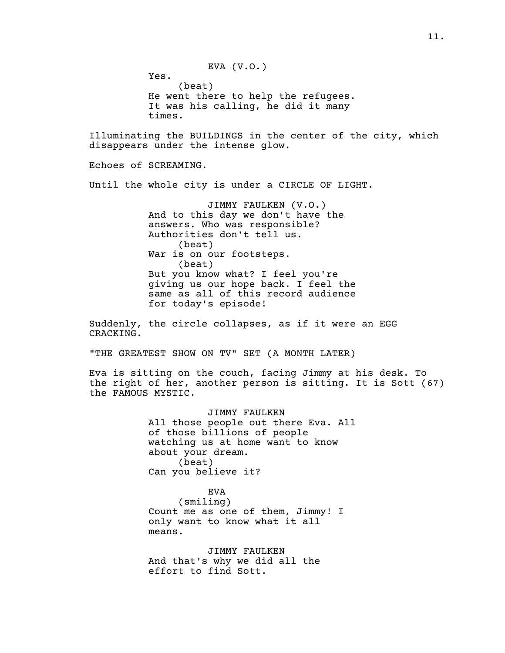EVA (V.O.)

Yes. (beat) He went there to help the refugees. It was his calling, he did it many times.

Illuminating the BUILDINGS in the center of the city, which disappears under the intense glow.

Echoes of SCREAMING.

Until the whole city is under a CIRCLE OF LIGHT.

JIMMY FAULKEN (V.O.) And to this day we don't have the answers. Who was responsible? Authorities don't tell us. (beat) War is on our footsteps. (beat) But you know what? I feel you're giving us our hope back. I feel the same as all of this record audience for today's episode!

Suddenly, the circle collapses, as if it were an EGG CRACKING.

"THE GREATEST SHOW ON TV" SET (A MONTH LATER)

Eva is sitting on the couch, facing Jimmy at his desk. To the right of her, another person is sitting. It is Sott (67) the FAMOUS MYSTIC.

> JIMMY FAULKEN All those people out there Eva. All of those billions of people watching us at home want to know about your dream. (beat) Can you believe it?

EVA (smiling) Count me as one of them, Jimmy! I only want to know what it all means.

JIMMY FAULKEN And that's why we did all the effort to find Sott.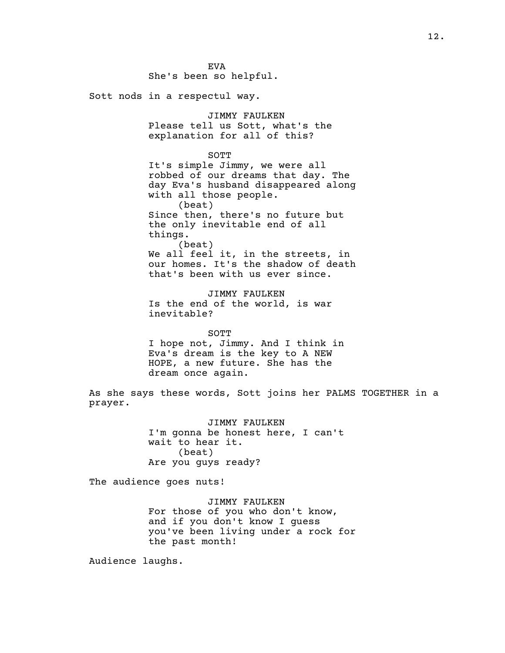EVA She's been so helpful.

Sott nods in a respectul way.

JIMMY FAULKEN Please tell us Sott, what's the explanation for all of this?

SOTT

It's simple Jimmy, we were all robbed of our dreams that day. The day Eva's husband disappeared along with all those people. (beat) Since then, there's no future but the only inevitable end of all

things. (beat) We all feel it, in the streets, in our homes. It's the shadow of death

that's been with us ever since.

JIMMY FAULKEN Is the end of the world, is war inevitable?

SOTT I hope not, Jimmy. And I think in Eva's dream is the key to A NEW HOPE, a new future. She has the dream once again.

As she says these words, Sott joins her PALMS TOGETHER in a prayer.

> JIMMY FAULKEN I'm gonna be honest here, I can't wait to hear it. (beat) Are you guys ready?

The audience goes nuts!

JIMMY FAULKEN For those of you who don't know, and if you don't know I guess you've been living under a rock for the past month!

Audience laughs.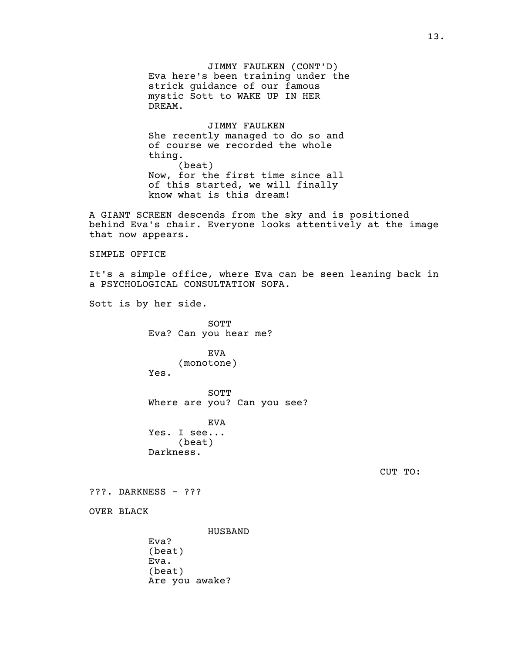JIMMY FAULKEN (CONT'D) Eva here's been training under the strick guidance of our famous mystic Sott to WAKE UP IN HER DREAM.

JIMMY FAULKEN She recently managed to do so and of course we recorded the whole thing. (beat) Now, for the first time since all of this started, we will finally know what is this dream!

A GIANT SCREEN descends from the sky and is positioned behind Eva's chair. Everyone looks attentively at the image that now appears.

SIMPLE OFFICE

It's a simple office, where Eva can be seen leaning back in a PSYCHOLOGICAL CONSULTATION SOFA.

Sott is by her side.

SOTT Eva? Can you hear me?

EVA (monotone) Yes.

SOTT Where are you? Can you see?

EVA Yes. I see... (beat) Darkness.

CUT TO:

???. DARKNESS - ???

OVER BLACK

HUSBAND Eva? (beat) Eva. (beat) Are you awake?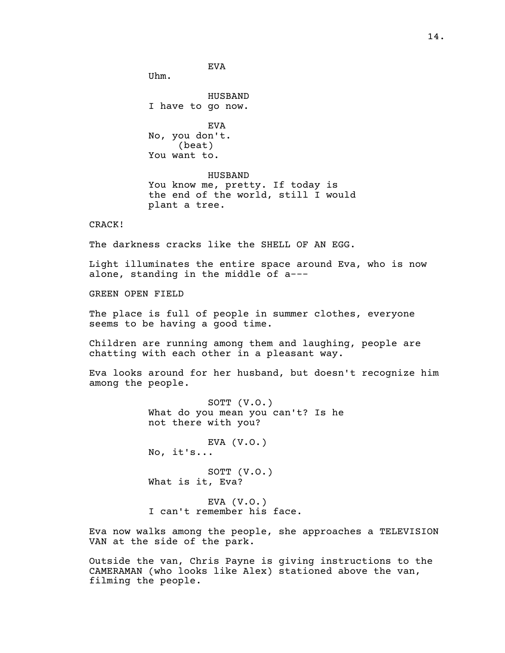EVA

HUSBAND I have to go now.

Uhm.

EVA No, you don't. (beat) You want to.

HUSBAND You know me, pretty. If today is the end of the world, still I would plant a tree.

## CRACK!

The darkness cracks like the SHELL OF AN EGG.

Light illuminates the entire space around Eva, who is now alone, standing in the middle of a---

GREEN OPEN FIELD

The place is full of people in summer clothes, everyone seems to be having a good time.

Children are running among them and laughing, people are chatting with each other in a pleasant way.

Eva looks around for her husband, but doesn't recognize him among the people.

> SOTT (V.O.) What do you mean you can't? Is he not there with you?

EVA  $(V.0.)$ No, it's...

SOTT (V.O.) What is it, Eva?

EVA  $(V.0.)$ I can't remember his face.

Eva now walks among the people, she approaches a TELEVISION VAN at the side of the park.

Outside the van, Chris Payne is giving instructions to the CAMERAMAN (who looks like Alex) stationed above the van, filming the people.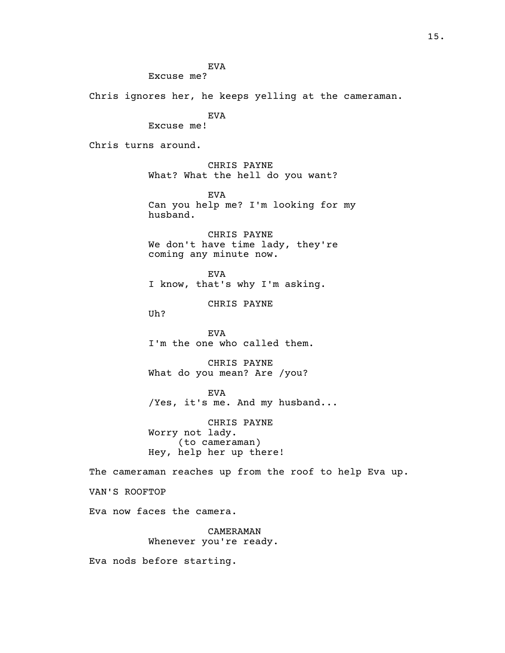EVA

Excuse me?

Chris ignores her, he keeps yelling at the cameraman.

EVA

Excuse me!

Chris turns around.

CHRIS PAYNE What? What the hell do you want?

EVA Can you help me? I'm looking for my husband.

CHRIS PAYNE We don't have time lady, they're coming any minute now.

EVA I know, that's why I'm asking.

CHRIS PAYNE

Uh?

EVA I'm the one who called them.

CHRIS PAYNE What do you mean? Are /you?

EVA /Yes, it's me. And my husband...

CHRIS PAYNE Worry not lady. (to cameraman) Hey, help her up there!

The cameraman reaches up from the roof to help Eva up.

VAN'S ROOFTOP

Eva now faces the camera.

CAMERAMAN Whenever you're ready.

Eva nods before starting.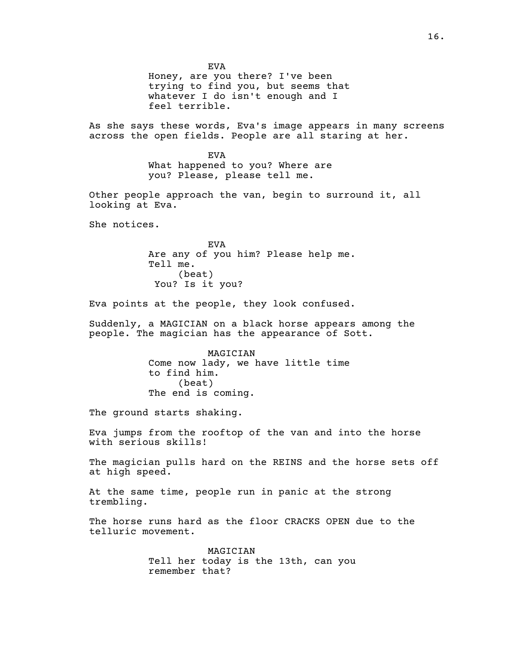EVA Honey, are you there? I've been trying to find you, but seems that whatever I do isn't enough and I feel terrible.

As she says these words, Eva's image appears in many screens across the open fields. People are all staring at her.

> EVA What happened to you? Where are you? Please, please tell me.

Other people approach the van, begin to surround it, all looking at Eva.

She notices.

EVA Are any of you him? Please help me. Tell me. (beat) You? Is it you?

Eva points at the people, they look confused.

Suddenly, a MAGICIAN on a black horse appears among the people. The magician has the appearance of Sott.

> MAGICIAN Come now lady, we have little time to find him. (beat) The end is coming.

The ground starts shaking.

Eva jumps from the rooftop of the van and into the horse with serious skills!

The magician pulls hard on the REINS and the horse sets off at high speed.

At the same time, people run in panic at the strong trembling.

The horse runs hard as the floor CRACKS OPEN due to the telluric movement.

> MAGICIAN Tell her today is the 13th, can you remember that?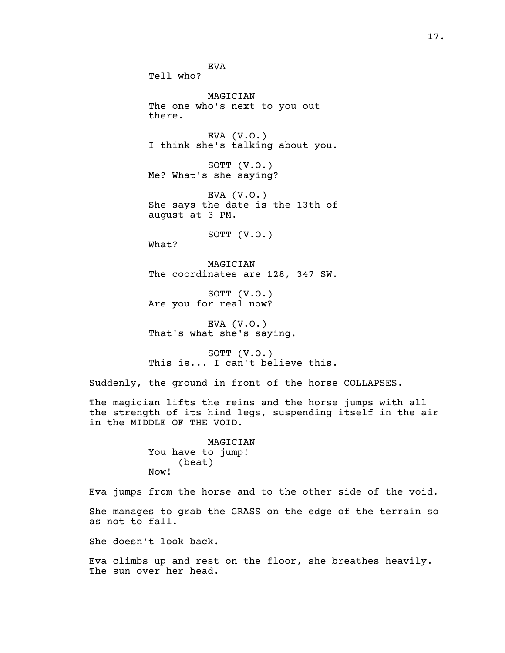EVA Tell who? MAGICIAN The one who's next to you out there. EVA (V.O.) I think she's talking about you. SOTT (V.O.) Me? What's she saying? EVA (V.O.) She says the date is the 13th of august at 3 PM. SOTT (V.O.) What? MAGICIAN The coordinates are 128, 347 SW. SOTT (V.O.) Are you for real now? EVA (V.O.) That's what she's saying. SOTT (V.O.) This is... I can't believe this. Suddenly, the ground in front of the horse COLLAPSES. The magician lifts the reins and the horse jumps with all

the strength of its hind legs, suspending itself in the air in the MIDDLE OF THE VOID.

> MAGICIAN You have to jump! (beat) Now!

Eva jumps from the horse and to the other side of the void.

She manages to grab the GRASS on the edge of the terrain so as not to fall.

She doesn't look back.

Eva climbs up and rest on the floor, she breathes heavily. The sun over her head.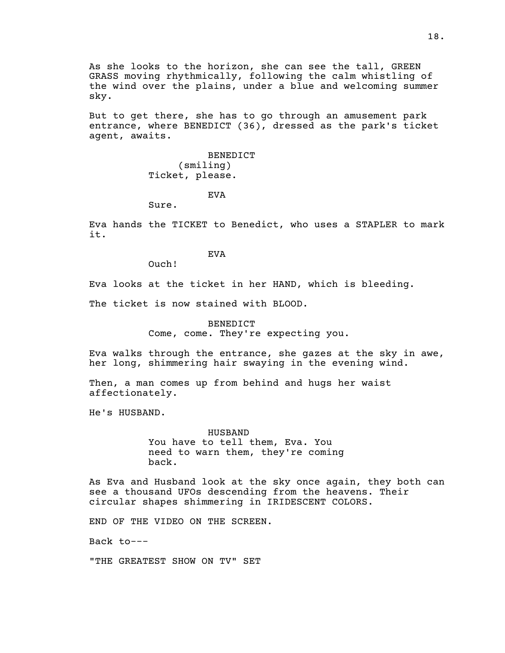As she looks to the horizon, she can see the tall, GREEN GRASS moving rhythmically, following the calm whistling of the wind over the plains, under a blue and welcoming summer sky.

But to get there, she has to go through an amusement park entrance, where BENEDICT (36), dressed as the park's ticket agent, awaits.

> BENEDICT (smiling) Ticket, please.

> > EVA

Sure.

Eva hands the TICKET to Benedict, who uses a STAPLER to mark it.

EVA

Ouch!

Eva looks at the ticket in her HAND, which is bleeding.

The ticket is now stained with BLOOD.

BENEDICT Come, come. They're expecting you.

Eva walks through the entrance, she gazes at the sky in awe, her long, shimmering hair swaying in the evening wind.

Then, a man comes up from behind and hugs her waist affectionately.

He's HUSBAND.

HUSBAND You have to tell them, Eva. You need to warn them, they're coming back.

As Eva and Husband look at the sky once again, they both can see a thousand UFOs descending from the heavens. Their circular shapes shimmering in IRIDESCENT COLORS.

END OF THE VIDEO ON THE SCREEN.

Back to---

"THE GREATEST SHOW ON TV" SET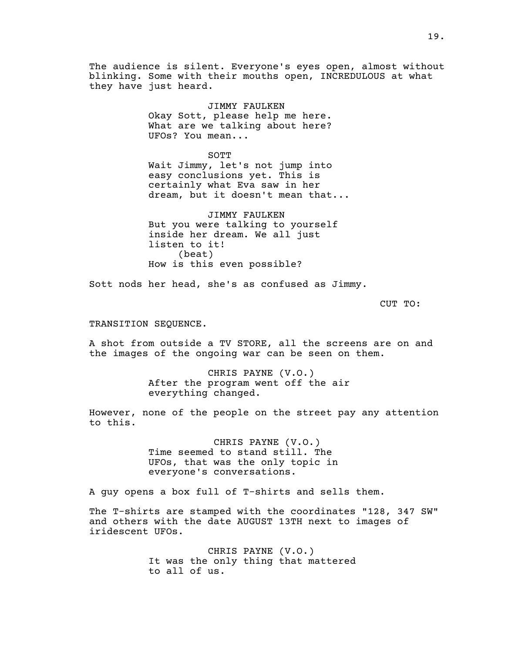The audience is silent. Everyone's eyes open, almost without blinking. Some with their mouths open, INCREDULOUS at what they have just heard.

> JIMMY FAULKEN Okay Sott, please help me here. What are we talking about here? UFOs? You mean...

SOTT Wait Jimmy, let's not jump into easy conclusions yet. This is certainly what Eva saw in her dream, but it doesn't mean that...

JIMMY FAULKEN But you were talking to yourself inside her dream. We all just listen to it! (beat) How is this even possible?

Sott nods her head, she's as confused as Jimmy.

CUT TO:

#### TRANSITION SEQUENCE.

A shot from outside a TV STORE, all the screens are on and the images of the ongoing war can be seen on them.

> CHRIS PAYNE (V.O.) After the program went off the air everything changed.

However, none of the people on the street pay any attention to this.

> CHRIS PAYNE (V.O.) Time seemed to stand still. The UFOs, that was the only topic in everyone's conversations.

A guy opens a box full of T-shirts and sells them.

The T-shirts are stamped with the coordinates "128, 347 SW" and others with the date AUGUST 13TH next to images of iridescent UFOs.

> CHRIS PAYNE (V.O.) It was the only thing that mattered to all of us.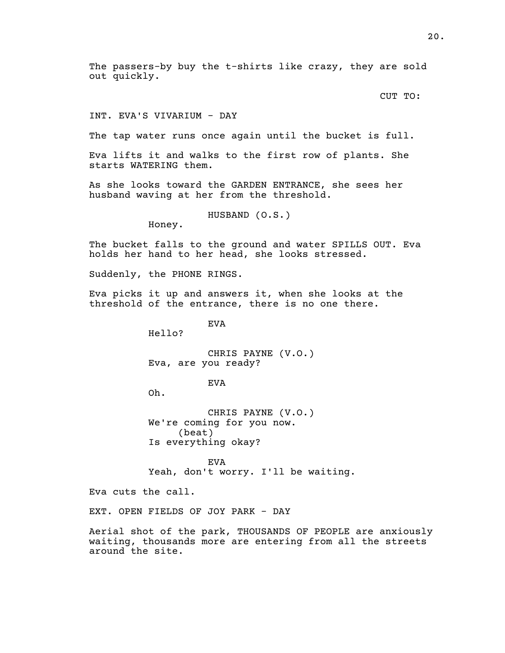The passers-by buy the t-shirts like crazy, they are sold out quickly.

CUT TO:

#### INT. EVA'S VIVARIUM - DAY

The tap water runs once again until the bucket is full.

Eva lifts it and walks to the first row of plants. She starts WATERING them.

As she looks toward the GARDEN ENTRANCE, she sees her husband waving at her from the threshold.

HUSBAND (O.S.)

Honey.

The bucket falls to the ground and water SPILLS OUT. Eva holds her hand to her head, she looks stressed.

Suddenly, the PHONE RINGS.

Eva picks it up and answers it, when she looks at the threshold of the entrance, there is no one there.

EVA

Hello?

CHRIS PAYNE (V.O.) Eva, are you ready?

EVA

Oh.

CHRIS PAYNE (V.O.) We're coming for you now. (beat) Is everything okay?

EVA Yeah, don't worry. I'll be waiting.

Eva cuts the call.

EXT. OPEN FIELDS OF JOY PARK - DAY

Aerial shot of the park, THOUSANDS OF PEOPLE are anxiously waiting, thousands more are entering from all the streets around the site.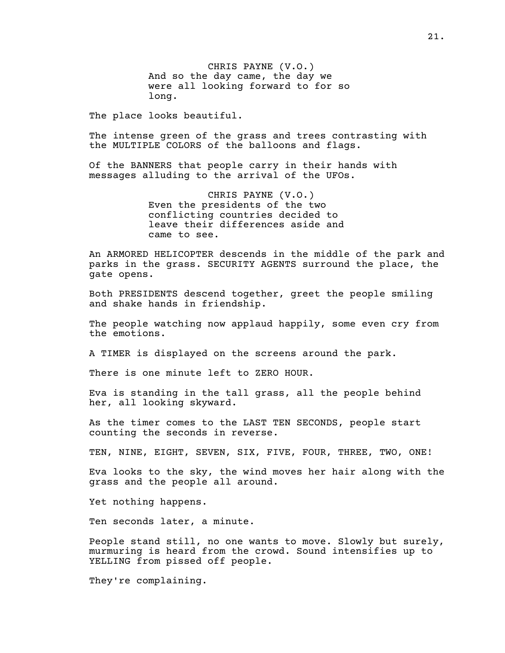CHRIS PAYNE (V.O.) And so the day came, the day we were all looking forward to for so long.

The place looks beautiful.

The intense green of the grass and trees contrasting with the MULTIPLE COLORS of the balloons and flags.

Of the BANNERS that people carry in their hands with messages alluding to the arrival of the UFOs.

> CHRIS PAYNE (V.O.) Even the presidents of the two conflicting countries decided to leave their differences aside and came to see.

An ARMORED HELICOPTER descends in the middle of the park and parks in the grass. SECURITY AGENTS surround the place, the gate opens.

Both PRESIDENTS descend together, greet the people smiling and shake hands in friendship.

The people watching now applaud happily, some even cry from the emotions.

A TIMER is displayed on the screens around the park.

There is one minute left to ZERO HOUR.

Eva is standing in the tall grass, all the people behind her, all looking skyward.

As the timer comes to the LAST TEN SECONDS, people start counting the seconds in reverse.

TEN, NINE, EIGHT, SEVEN, SIX, FIVE, FOUR, THREE, TWO, ONE!

Eva looks to the sky, the wind moves her hair along with the grass and the people all around.

Yet nothing happens.

Ten seconds later, a minute.

People stand still, no one wants to move. Slowly but surely, murmuring is heard from the crowd. Sound intensifies up to YELLING from pissed off people.

They're complaining.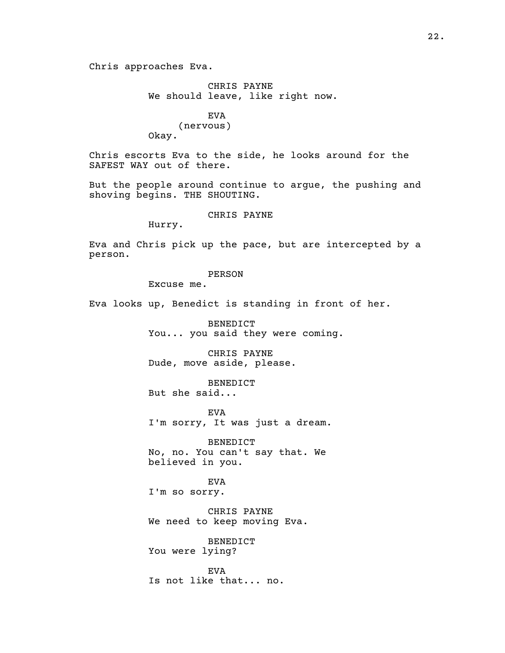Chris approaches Eva.

CHRIS PAYNE We should leave, like right now.

EVA (nervous) Okay.

Chris escorts Eva to the side, he looks around for the SAFEST WAY out of there.

But the people around continue to argue, the pushing and shoving begins. THE SHOUTING.

CHRIS PAYNE

Hurry.

Eva and Chris pick up the pace, but are intercepted by a person.

PERSON

Excuse me.

Eva looks up, Benedict is standing in front of her.

BENEDICT You... you said they were coming.

CHRIS PAYNE Dude, move aside, please.

BENEDICT But she said...

EVA I'm sorry, It was just a dream.

BENEDICT No, no. You can't say that. We believed in you.

EVA I'm so sorry.

CHRIS PAYNE We need to keep moving Eva.

BENEDICT You were lying?

EVA Is not like that... no.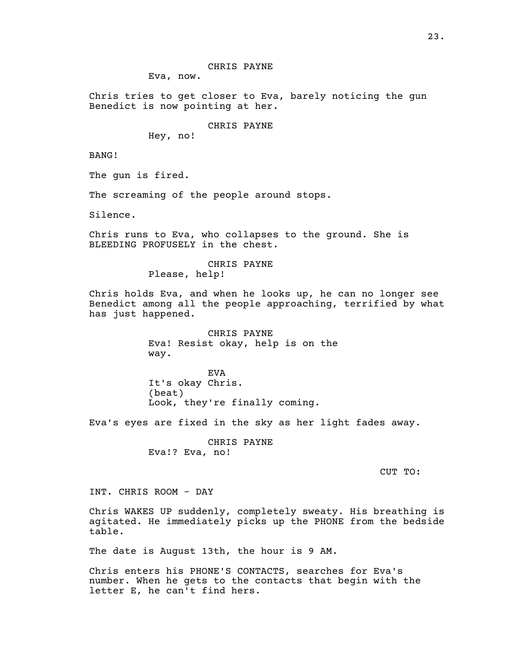Eva, now.

Chris tries to get closer to Eva, barely noticing the gun Benedict is now pointing at her.

CHRIS PAYNE

Hey, no!

BANG!

The gun is fired.

The screaming of the people around stops.

Silence.

Chris runs to Eva, who collapses to the ground. She is BLEEDING PROFUSELY in the chest.

> CHRIS PAYNE Please, help!

Chris holds Eva, and when he looks up, he can no longer see Benedict among all the people approaching, terrified by what has just happened.

> CHRIS PAYNE Eva! Resist okay, help is on the way.

EVA It's okay Chris. (beat) Look, they're finally coming.

Eva's eyes are fixed in the sky as her light fades away.

CHRIS PAYNE Eva!? Eva, no!

CUT TO:

INT. CHRIS ROOM - DAY

Chris WAKES UP suddenly, completely sweaty. His breathing is agitated. He immediately picks up the PHONE from the bedside table.

The date is August 13th, the hour is 9 AM.

Chris enters his PHONE'S CONTACTS, searches for Eva's number. When he gets to the contacts that begin with the letter E, he can't find hers.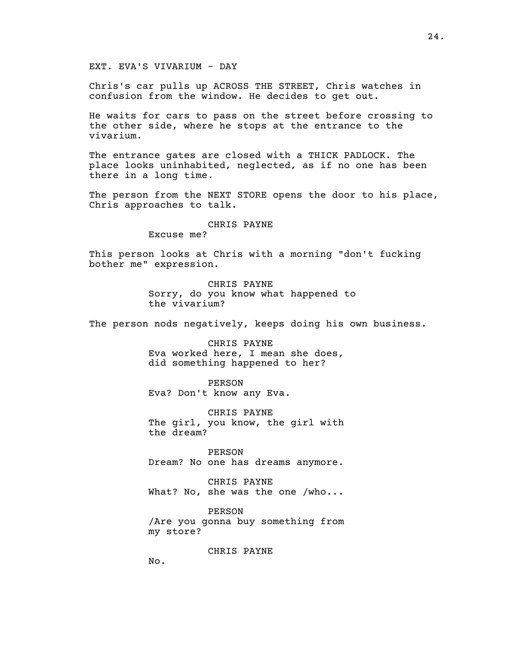EXT. EVA'S VIVARIUM - DAY

Chris's car pulls up ACROSS THE STREET, Chris watches in confusion from the window. He decides to get out.

He waits for cars to pass on the street before crossing to the other side, where he stops at the entrance to the vivarium.

The entrance gates are closed with a THICK PADLOCK. The place looks uninhabited, neglected, as if no one has been there in a long time.

The person from the NEXT STORE opens the door to his place, Chris approaches to talk.

#### CHRIS PAYNE

Excuse me?

This person looks at Chris with a morning "don't fucking bother me" expression.

> CHRIS PAYNE Sorry, do you know what happened to the vivarium?

The person nods negatively, keeps doing his own business.

CHRIS PAYNE Eva worked here, I mean she does, did something happened to her?

PERSON Eva? Don't know any Eva.

CHRIS PAYNE The girl, you know, the girl with the dream?

PERSON Dream? No one has dreams anymore.

CHRIS PAYNE What? No, she was the one /who...

PERSON /Are you gonna buy something from my store?

CHRIS PAYNE

No.